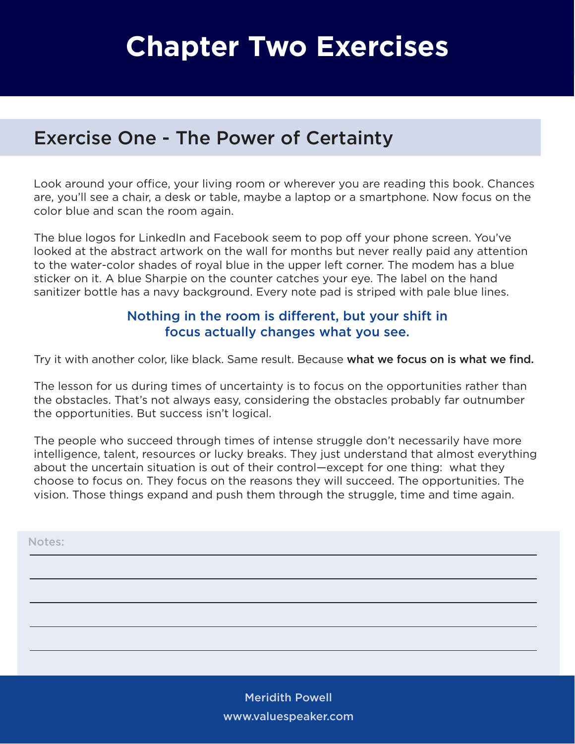# **Chapter Two Exercises**

## Exercise One - The Power of Certainty

Look around your office, your living room or wherever you are reading this book. Chances are, you'll see a chair, a desk or table, maybe a laptop or a smartphone. Now focus on the color blue and scan the room again.

The blue logos for LinkedIn and Facebook seem to pop off your phone screen. You've looked at the abstract artwork on the wall for months but never really paid any attention to the water-color shades of royal blue in the upper left corner. The modem has a blue sticker on it. A blue Sharpie on the counter catches your eye. The label on the hand sanitizer bottle has a navy background. Every note pad is striped with pale blue lines.

### Nothing in the room is different, but your shift in focus actually changes what you see.

Try it with another color, like black. Same result. Because what we focus on is what we find.

The lesson for us during times of uncertainty is to focus on the opportunities rather than the obstacles. That's not always easy, considering the obstacles probably far outnumber the opportunities. But success isn't logical.

The people who succeed through times of intense struggle don't necessarily have more intelligence, talent, resources or lucky breaks. They just understand that almost everything about the uncertain situation is out of their control—except for one thing: what they choose to focus on. They focus on the reasons they will succeed. The opportunities. The vision. Those things expand and push them through the struggle, time and time again.

Notes:

Meridith Powell www.valuespeaker.com